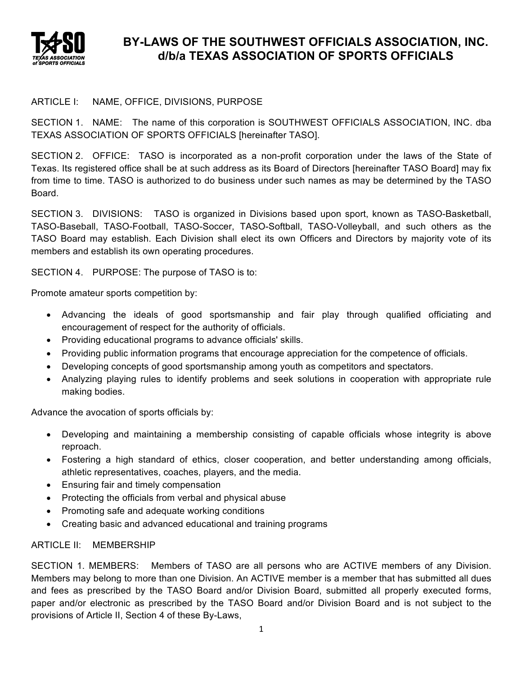

# **BY-LAWS OF THE SOUTHWEST OFFICIALS ASSOCIATION, INC. d/b/a TEXAS ASSOCIATION OF SPORTS OFFICIALS**

## ARTICLE I: NAME, OFFICE, DIVISIONS, PURPOSE

SECTION 1. NAME: The name of this corporation is SOUTHWEST OFFICIALS ASSOCIATION, INC. dba TEXAS ASSOCIATION OF SPORTS OFFICIALS [hereinafter TASO].

SECTION 2. OFFICE: TASO is incorporated as a non-profit corporation under the laws of the State of Texas. Its registered office shall be at such address as its Board of Directors [hereinafter TASO Board] may fix from time to time. TASO is authorized to do business under such names as may be determined by the TASO Board.

SECTION 3. DIVISIONS: TASO is organized in Divisions based upon sport, known as TASO-Basketball, TASO-Baseball, TASO-Football, TASO-Soccer, TASO-Softball, TASO-Volleyball, and such others as the TASO Board may establish. Each Division shall elect its own Officers and Directors by majority vote of its members and establish its own operating procedures.

SECTION 4. PURPOSE: The purpose of TASO is to:

Promote amateur sports competition by:

- Advancing the ideals of good sportsmanship and fair play through qualified officiating and encouragement of respect for the authority of officials.
- Providing educational programs to advance officials' skills.
- Providing public information programs that encourage appreciation for the competence of officials.
- Developing concepts of good sportsmanship among youth as competitors and spectators.
- Analyzing playing rules to identify problems and seek solutions in cooperation with appropriate rule making bodies.

Advance the avocation of sports officials by:

- Developing and maintaining a membership consisting of capable officials whose integrity is above reproach.
- Fostering a high standard of ethics, closer cooperation, and better understanding among officials, athletic representatives, coaches, players, and the media.
- Ensuring fair and timely compensation
- Protecting the officials from verbal and physical abuse
- Promoting safe and adequate working conditions
- Creating basic and advanced educational and training programs

## ARTICLE II: MEMBERSHIP

SECTION 1. MEMBERS: Members of TASO are all persons who are ACTIVE members of any Division. Members may belong to more than one Division. An ACTIVE member is a member that has submitted all dues and fees as prescribed by the TASO Board and/or Division Board, submitted all properly executed forms, paper and/or electronic as prescribed by the TASO Board and/or Division Board and is not subject to the provisions of Article II, Section 4 of these By-Laws,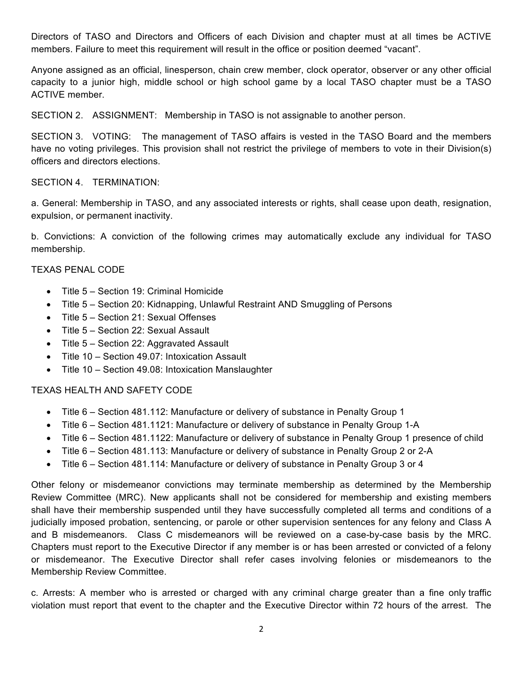Directors of TASO and Directors and Officers of each Division and chapter must at all times be ACTIVE members. Failure to meet this requirement will result in the office or position deemed "vacant".

Anyone assigned as an official, linesperson, chain crew member, clock operator, observer or any other official capacity to a junior high, middle school or high school game by a local TASO chapter must be a TASO ACTIVE member.

SECTION 2. ASSIGNMENT: Membership in TASO is not assignable to another person.

SECTION 3. VOTING: The management of TASO affairs is vested in the TASO Board and the members have no voting privileges. This provision shall not restrict the privilege of members to vote in their Division(s) officers and directors elections.

## SECTION 4. TERMINATION:

a. General: Membership in TASO, and any associated interests or rights, shall cease upon death, resignation, expulsion, or permanent inactivity.

b. Convictions: A conviction of the following crimes may automatically exclude any individual for TASO membership.

## TEXAS PENAL CODE

- Title 5 Section 19: Criminal Homicide
- Title 5 Section 20: Kidnapping, Unlawful Restraint AND Smuggling of Persons
- Title 5 Section 21: Sexual Offenses
- Title 5 Section 22: Sexual Assault
- Title 5 Section 22: Aggravated Assault
- Title 10 Section 49.07: Intoxication Assault
- Title 10 Section 49.08: Intoxication Manslaughter

## TEXAS HEALTH AND SAFETY CODE

- Title 6 Section 481.112: Manufacture or delivery of substance in Penalty Group 1
- Title 6 Section 481.1121: Manufacture or delivery of substance in Penalty Group 1-A
- Title 6 Section 481.1122: Manufacture or delivery of substance in Penalty Group 1 presence of child
- Title 6 Section 481.113: Manufacture or delivery of substance in Penalty Group 2 or 2-A
- Title 6 Section 481.114: Manufacture or delivery of substance in Penalty Group 3 or 4

Other felony or misdemeanor convictions may terminate membership as determined by the Membership Review Committee (MRC). New applicants shall not be considered for membership and existing members shall have their membership suspended until they have successfully completed all terms and conditions of a judicially imposed probation, sentencing, or parole or other supervision sentences for any felony and Class A and B misdemeanors. Class C misdemeanors will be reviewed on a case-by-case basis by the MRC. Chapters must report to the Executive Director if any member is or has been arrested or convicted of a felony or misdemeanor. The Executive Director shall refer cases involving felonies or misdemeanors to the Membership Review Committee.

c. Arrests: A member who is arrested or charged with any criminal charge greater than a fine only traffic violation must report that event to the chapter and the Executive Director within 72 hours of the arrest. The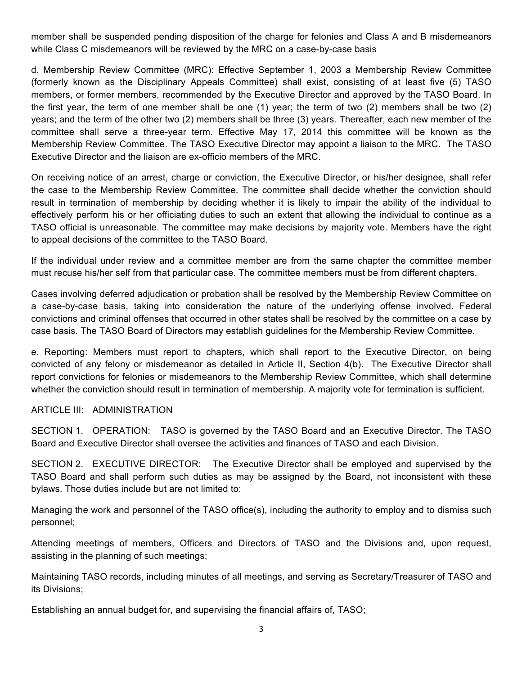member shall be suspended pending disposition of the charge for felonies and Class A and B misdemeanors while Class C misdemeanors will be reviewed by the MRC on a case-by-case basis

d. Membership Review Committee (MRC): Effective September 1, 2003 a Membership Review Committee (formerly known as the Disciplinary Appeals Committee) shall exist, consisting of at least five (5) TASO members, or former members, recommended by the Executive Director and approved by the TASO Board. In the first year, the term of one member shall be one (1) year; the term of two (2) members shall be two (2) years; and the term of the other two (2) members shall be three (3) years. Thereafter, each new member of the committee shall serve a three-year term. Effective May 17, 2014 this committee will be known as the Membership Review Committee. The TASO Executive Director may appoint a liaison to the MRC. The TASO Executive Director and the liaison are ex-officio members of the MRC.

On receiving notice of an arrest, charge or conviction, the Executive Director, or his/her designee, shall refer the case to the Membership Review Committee. The committee shall decide whether the conviction should result in termination of membership by deciding whether it is likely to impair the ability of the individual to effectively perform his or her officiating duties to such an extent that allowing the individual to continue as a TASO official is unreasonable. The committee may make decisions by majority vote. Members have the right to appeal decisions of the committee to the TASO Board.

If the individual under review and a committee member are from the same chapter the committee member must recuse his/her self from that particular case. The committee members must be from different chapters.

Cases involving deferred adjudication or probation shall be resolved by the Membership Review Committee on a case-by-case basis, taking into consideration the nature of the underlying offense involved. Federal convictions and criminal offenses that occurred in other states shall be resolved by the committee on a case by case basis. The TASO Board of Directors may establish guidelines for the Membership Review Committee.

e. Reporting: Members must report to chapters, which shall report to the Executive Director, on being convicted of any felony or misdemeanor as detailed in Article II, Section 4(b). The Executive Director shall report convictions for felonies or misdemeanors to the Membership Review Committee, which shall determine whether the conviction should result in termination of membership. A majority vote for termination is sufficient.

#### ARTICLE III: ADMINISTRATION

SECTION 1. OPERATION: TASO is governed by the TASO Board and an Executive Director. The TASO Board and Executive Director shall oversee the activities and finances of TASO and each Division.

SECTION 2. EXECUTIVE DIRECTOR: The Executive Director shall be employed and supervised by the TASO Board and shall perform such duties as may be assigned by the Board, not inconsistent with these bylaws. Those duties include but are not limited to:

Managing the work and personnel of the TASO office(s), including the authority to employ and to dismiss such personnel;

Attending meetings of members, Officers and Directors of TASO and the Divisions and, upon request, assisting in the planning of such meetings;

Maintaining TASO records, including minutes of all meetings, and serving as Secretary/Treasurer of TASO and its Divisions;

Establishing an annual budget for, and supervising the financial affairs of, TASO;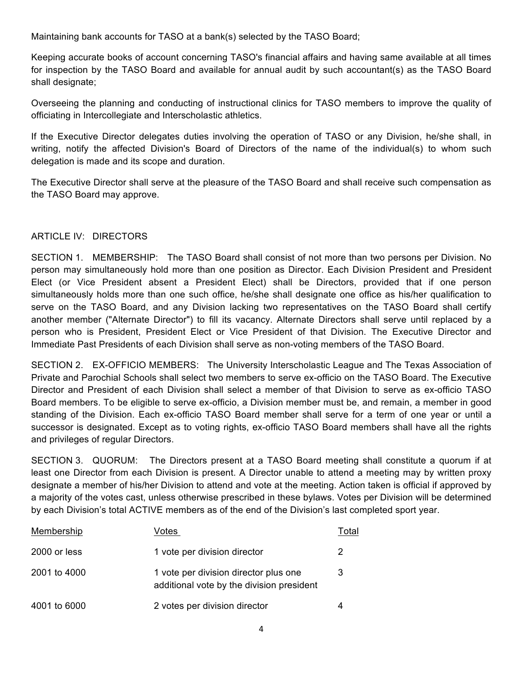Maintaining bank accounts for TASO at a bank(s) selected by the TASO Board;

Keeping accurate books of account concerning TASO's financial affairs and having same available at all times for inspection by the TASO Board and available for annual audit by such accountant(s) as the TASO Board shall designate;

Overseeing the planning and conducting of instructional clinics for TASO members to improve the quality of officiating in Intercollegiate and Interscholastic athletics.

If the Executive Director delegates duties involving the operation of TASO or any Division, he/she shall, in writing, notify the affected Division's Board of Directors of the name of the individual(s) to whom such delegation is made and its scope and duration.

The Executive Director shall serve at the pleasure of the TASO Board and shall receive such compensation as the TASO Board may approve.

## ARTICLE IV: DIRECTORS

SECTION 1. MEMBERSHIP: The TASO Board shall consist of not more than two persons per Division. No person may simultaneously hold more than one position as Director. Each Division President and President Elect (or Vice President absent a President Elect) shall be Directors, provided that if one person simultaneously holds more than one such office, he/she shall designate one office as his/her qualification to serve on the TASO Board, and any Division lacking two representatives on the TASO Board shall certify another member ("Alternate Director") to fill its vacancy. Alternate Directors shall serve until replaced by a person who is President, President Elect or Vice President of that Division. The Executive Director and Immediate Past Presidents of each Division shall serve as non-voting members of the TASO Board.

SECTION 2. EX-OFFICIO MEMBERS: The University Interscholastic League and The Texas Association of Private and Parochial Schools shall select two members to serve ex-officio on the TASO Board. The Executive Director and President of each Division shall select a member of that Division to serve as ex-officio TASO Board members. To be eligible to serve ex-officio, a Division member must be, and remain, a member in good standing of the Division. Each ex-officio TASO Board member shall serve for a term of one year or until a successor is designated. Except as to voting rights, ex-officio TASO Board members shall have all the rights and privileges of regular Directors.

SECTION 3. QUORUM: The Directors present at a TASO Board meeting shall constitute a quorum if at least one Director from each Division is present. A Director unable to attend a meeting may by written proxy designate a member of his/her Division to attend and vote at the meeting. Action taken is official if approved by a majority of the votes cast, unless otherwise prescribed in these bylaws. Votes per Division will be determined by each Division's total ACTIVE members as of the end of the Division's last completed sport year.

| Membership   | /otes                                                                              | Total |
|--------------|------------------------------------------------------------------------------------|-------|
| 2000 or less | 1 vote per division director                                                       | 2     |
| 2001 to 4000 | 1 vote per division director plus one<br>additional vote by the division president | 3     |
| 4001 to 6000 | 2 votes per division director                                                      | 4     |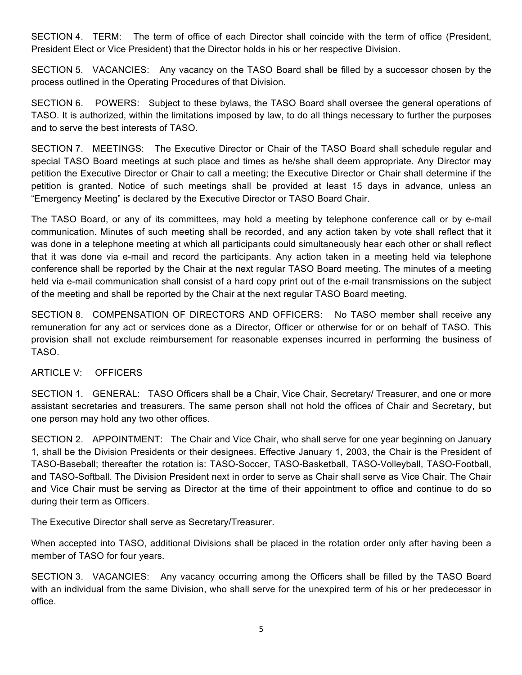SECTION 4. TERM: The term of office of each Director shall coincide with the term of office (President, President Elect or Vice President) that the Director holds in his or her respective Division.

SECTION 5. VACANCIES: Any vacancy on the TASO Board shall be filled by a successor chosen by the process outlined in the Operating Procedures of that Division.

SECTION 6. POWERS: Subject to these bylaws, the TASO Board shall oversee the general operations of TASO. It is authorized, within the limitations imposed by law, to do all things necessary to further the purposes and to serve the best interests of TASO.

SECTION 7. MEETINGS: The Executive Director or Chair of the TASO Board shall schedule regular and special TASO Board meetings at such place and times as he/she shall deem appropriate. Any Director may petition the Executive Director or Chair to call a meeting; the Executive Director or Chair shall determine if the petition is granted. Notice of such meetings shall be provided at least 15 days in advance, unless an "Emergency Meeting" is declared by the Executive Director or TASO Board Chair.

The TASO Board, or any of its committees, may hold a meeting by telephone conference call or by e-mail communication. Minutes of such meeting shall be recorded, and any action taken by vote shall reflect that it was done in a telephone meeting at which all participants could simultaneously hear each other or shall reflect that it was done via e-mail and record the participants. Any action taken in a meeting held via telephone conference shall be reported by the Chair at the next regular TASO Board meeting. The minutes of a meeting held via e-mail communication shall consist of a hard copy print out of the e-mail transmissions on the subject of the meeting and shall be reported by the Chair at the next regular TASO Board meeting.

SECTION 8. COMPENSATION OF DIRECTORS AND OFFICERS: No TASO member shall receive any remuneration for any act or services done as a Director, Officer or otherwise for or on behalf of TASO. This provision shall not exclude reimbursement for reasonable expenses incurred in performing the business of TASO.

## ARTICLE V: OFFICERS

SECTION 1. GENERAL: TASO Officers shall be a Chair, Vice Chair, Secretary/ Treasurer, and one or more assistant secretaries and treasurers. The same person shall not hold the offices of Chair and Secretary, but one person may hold any two other offices.

SECTION 2. APPOINTMENT: The Chair and Vice Chair, who shall serve for one year beginning on January 1, shall be the Division Presidents or their designees. Effective January 1, 2003, the Chair is the President of TASO-Baseball; thereafter the rotation is: TASO-Soccer, TASO-Basketball, TASO-Volleyball, TASO-Football, and TASO-Softball. The Division President next in order to serve as Chair shall serve as Vice Chair. The Chair and Vice Chair must be serving as Director at the time of their appointment to office and continue to do so during their term as Officers.

The Executive Director shall serve as Secretary/Treasurer.

When accepted into TASO, additional Divisions shall be placed in the rotation order only after having been a member of TASO for four years.

SECTION 3. VACANCIES: Any vacancy occurring among the Officers shall be filled by the TASO Board with an individual from the same Division, who shall serve for the unexpired term of his or her predecessor in office.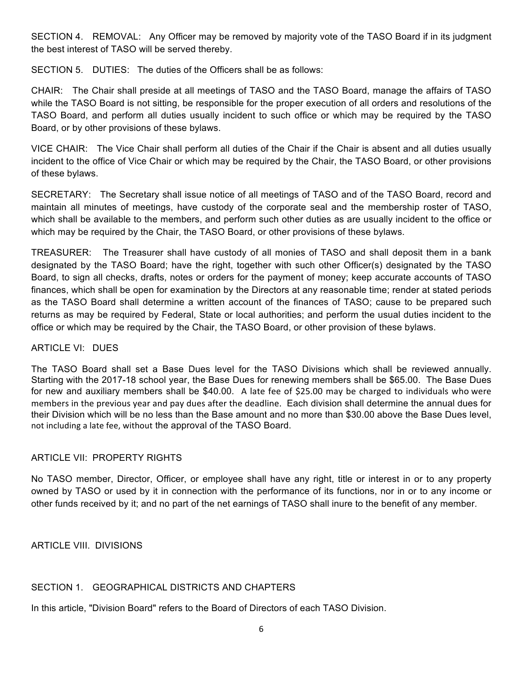SECTION 4. REMOVAL: Any Officer may be removed by majority vote of the TASO Board if in its judgment the best interest of TASO will be served thereby.

SECTION 5. DUTIES: The duties of the Officers shall be as follows:

CHAIR: The Chair shall preside at all meetings of TASO and the TASO Board, manage the affairs of TASO while the TASO Board is not sitting, be responsible for the proper execution of all orders and resolutions of the TASO Board, and perform all duties usually incident to such office or which may be required by the TASO Board, or by other provisions of these bylaws.

VICE CHAIR: The Vice Chair shall perform all duties of the Chair if the Chair is absent and all duties usually incident to the office of Vice Chair or which may be required by the Chair, the TASO Board, or other provisions of these bylaws.

SECRETARY: The Secretary shall issue notice of all meetings of TASO and of the TASO Board, record and maintain all minutes of meetings, have custody of the corporate seal and the membership roster of TASO, which shall be available to the members, and perform such other duties as are usually incident to the office or which may be required by the Chair, the TASO Board, or other provisions of these bylaws.

TREASURER: The Treasurer shall have custody of all monies of TASO and shall deposit them in a bank designated by the TASO Board; have the right, together with such other Officer(s) designated by the TASO Board, to sign all checks, drafts, notes or orders for the payment of money; keep accurate accounts of TASO finances, which shall be open for examination by the Directors at any reasonable time; render at stated periods as the TASO Board shall determine a written account of the finances of TASO; cause to be prepared such returns as may be required by Federal, State or local authorities; and perform the usual duties incident to the office or which may be required by the Chair, the TASO Board, or other provision of these bylaws.

## ARTICLE VI: DUES

The TASO Board shall set a Base Dues level for the TASO Divisions which shall be reviewed annually. Starting with the 2017-18 school year, the Base Dues for renewing members shall be \$65.00. The Base Dues for new and auxiliary members shall be \$40.00. A late fee of \$25.00 may be charged to individuals who were members in the previous year and pay dues after the deadline. Each division shall determine the annual dues for their Division which will be no less than the Base amount and no more than \$30.00 above the Base Dues level, not including a late fee, without the approval of the TASO Board.

## ARTICLE VII: PROPERTY RIGHTS

No TASO member, Director, Officer, or employee shall have any right, title or interest in or to any property owned by TASO or used by it in connection with the performance of its functions, nor in or to any income or other funds received by it; and no part of the net earnings of TASO shall inure to the benefit of any member.

ARTICLE VIII. DIVISIONS

## SECTION 1. GEOGRAPHICAL DISTRICTS AND CHAPTERS

In this article, "Division Board" refers to the Board of Directors of each TASO Division.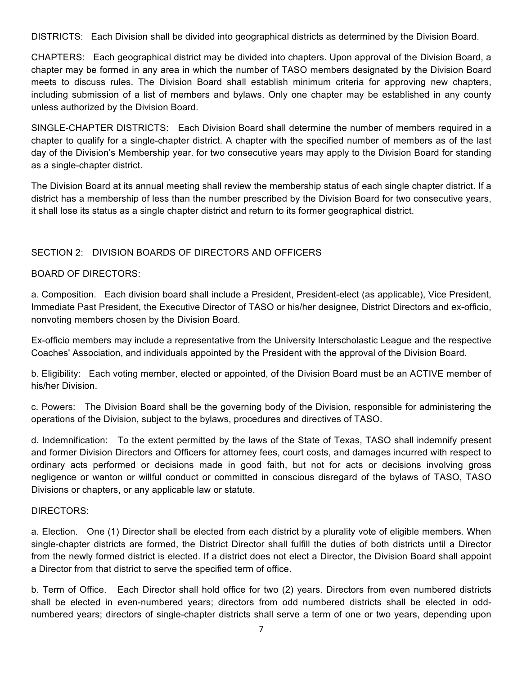DISTRICTS: Each Division shall be divided into geographical districts as determined by the Division Board.

CHAPTERS: Each geographical district may be divided into chapters. Upon approval of the Division Board, a chapter may be formed in any area in which the number of TASO members designated by the Division Board meets to discuss rules. The Division Board shall establish minimum criteria for approving new chapters, including submission of a list of members and bylaws. Only one chapter may be established in any county unless authorized by the Division Board.

SINGLE-CHAPTER DISTRICTS: Each Division Board shall determine the number of members required in a chapter to qualify for a single-chapter district. A chapter with the specified number of members as of the last day of the Division's Membership year. for two consecutive years may apply to the Division Board for standing as a single-chapter district.

The Division Board at its annual meeting shall review the membership status of each single chapter district. If a district has a membership of less than the number prescribed by the Division Board for two consecutive years, it shall lose its status as a single chapter district and return to its former geographical district.

# SECTION 2: DIVISION BOARDS OF DIRECTORS AND OFFICERS

## BOARD OF DIRECTORS:

a. Composition. Each division board shall include a President, President-elect (as applicable), Vice President, Immediate Past President, the Executive Director of TASO or his/her designee, District Directors and ex-officio, nonvoting members chosen by the Division Board.

Ex-officio members may include a representative from the University Interscholastic League and the respective Coaches' Association, and individuals appointed by the President with the approval of the Division Board.

b. Eligibility: Each voting member, elected or appointed, of the Division Board must be an ACTIVE member of his/her Division.

c. Powers: The Division Board shall be the governing body of the Division, responsible for administering the operations of the Division, subject to the bylaws, procedures and directives of TASO.

d. Indemnification: To the extent permitted by the laws of the State of Texas, TASO shall indemnify present and former Division Directors and Officers for attorney fees, court costs, and damages incurred with respect to ordinary acts performed or decisions made in good faith, but not for acts or decisions involving gross negligence or wanton or willful conduct or committed in conscious disregard of the bylaws of TASO, TASO Divisions or chapters, or any applicable law or statute.

## DIRECTORS:

a. Election. One (1) Director shall be elected from each district by a plurality vote of eligible members. When single-chapter districts are formed, the District Director shall fulfill the duties of both districts until a Director from the newly formed district is elected. If a district does not elect a Director, the Division Board shall appoint a Director from that district to serve the specified term of office.

b. Term of Office. Each Director shall hold office for two (2) years. Directors from even numbered districts shall be elected in even-numbered years; directors from odd numbered districts shall be elected in oddnumbered years; directors of single-chapter districts shall serve a term of one or two years, depending upon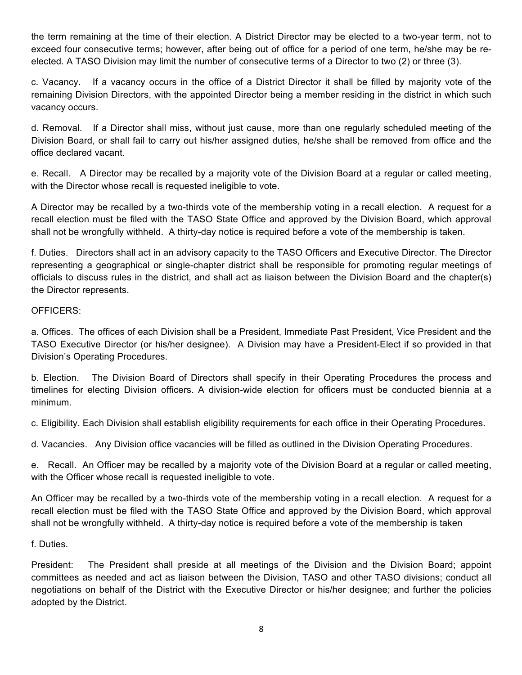the term remaining at the time of their election. A District Director may be elected to a two-year term, not to exceed four consecutive terms; however, after being out of office for a period of one term, he/she may be reelected. A TASO Division may limit the number of consecutive terms of a Director to two (2) or three (3).

c. Vacancy. If a vacancy occurs in the office of a District Director it shall be filled by majority vote of the remaining Division Directors, with the appointed Director being a member residing in the district in which such vacancy occurs.

d. Removal. If a Director shall miss, without just cause, more than one regularly scheduled meeting of the Division Board, or shall fail to carry out his/her assigned duties, he/she shall be removed from office and the office declared vacant.

e. Recall. A Director may be recalled by a majority vote of the Division Board at a regular or called meeting, with the Director whose recall is requested ineligible to vote.

A Director may be recalled by a two-thirds vote of the membership voting in a recall election. A request for a recall election must be filed with the TASO State Office and approved by the Division Board, which approval shall not be wrongfully withheld. A thirty-day notice is required before a vote of the membership is taken.

f. Duties. Directors shall act in an advisory capacity to the TASO Officers and Executive Director. The Director representing a geographical or single-chapter district shall be responsible for promoting regular meetings of officials to discuss rules in the district, and shall act as liaison between the Division Board and the chapter(s) the Director represents.

# OFFICERS:

a. Offices. The offices of each Division shall be a President, Immediate Past President, Vice President and the TASO Executive Director (or his/her designee). A Division may have a President-Elect if so provided in that Division's Operating Procedures.

b. Election. The Division Board of Directors shall specify in their Operating Procedures the process and timelines for electing Division officers. A division-wide election for officers must be conducted biennia at a minimum.

c. Eligibility. Each Division shall establish eligibility requirements for each office in their Operating Procedures.

d. Vacancies. Any Division office vacancies will be filled as outlined in the Division Operating Procedures.

e. Recall. An Officer may be recalled by a majority vote of the Division Board at a regular or called meeting, with the Officer whose recall is requested ineligible to vote.

An Officer may be recalled by a two-thirds vote of the membership voting in a recall election. A request for a recall election must be filed with the TASO State Office and approved by the Division Board, which approval shall not be wrongfully withheld. A thirty-day notice is required before a vote of the membership is taken

# f. Duties.

President: The President shall preside at all meetings of the Division and the Division Board; appoint committees as needed and act as liaison between the Division, TASO and other TASO divisions; conduct all negotiations on behalf of the District with the Executive Director or his/her designee; and further the policies adopted by the District.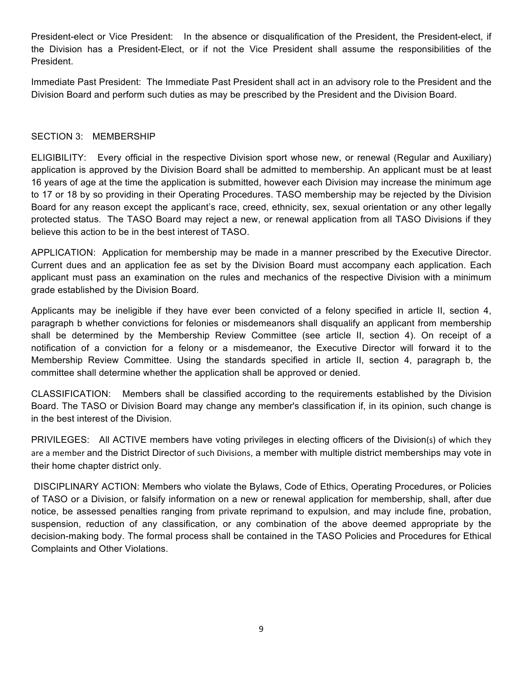President-elect or Vice President: In the absence or disqualification of the President, the President-elect, if the Division has a President-Elect, or if not the Vice President shall assume the responsibilities of the President.

Immediate Past President: The Immediate Past President shall act in an advisory role to the President and the Division Board and perform such duties as may be prescribed by the President and the Division Board.

## SECTION 3: MEMBERSHIP

ELIGIBILITY: Every official in the respective Division sport whose new, or renewal (Regular and Auxiliary) application is approved by the Division Board shall be admitted to membership. An applicant must be at least 16 years of age at the time the application is submitted, however each Division may increase the minimum age to 17 or 18 by so providing in their Operating Procedures. TASO membership may be rejected by the Division Board for any reason except the applicant's race, creed, ethnicity, sex, sexual orientation or any other legally protected status. The TASO Board may reject a new, or renewal application from all TASO Divisions if they believe this action to be in the best interest of TASO.

APPLICATION: Application for membership may be made in a manner prescribed by the Executive Director. Current dues and an application fee as set by the Division Board must accompany each application. Each applicant must pass an examination on the rules and mechanics of the respective Division with a minimum grade established by the Division Board.

Applicants may be ineligible if they have ever been convicted of a felony specified in article II, section 4, paragraph b whether convictions for felonies or misdemeanors shall disqualify an applicant from membership shall be determined by the Membership Review Committee (see article II, section 4). On receipt of a notification of a conviction for a felony or a misdemeanor, the Executive Director will forward it to the Membership Review Committee. Using the standards specified in article II, section 4, paragraph b, the committee shall determine whether the application shall be approved or denied.

CLASSIFICATION: Members shall be classified according to the requirements established by the Division Board. The TASO or Division Board may change any member's classification if, in its opinion, such change is in the best interest of the Division.

PRIVILEGES: All ACTIVE members have voting privileges in electing officers of the Division(s) of which they are a member and the District Director of such Divisions, a member with multiple district memberships may vote in their home chapter district only.

DISCIPLINARY ACTION: Members who violate the Bylaws, Code of Ethics, Operating Procedures, or Policies of TASO or a Division, or falsify information on a new or renewal application for membership, shall, after due notice, be assessed penalties ranging from private reprimand to expulsion, and may include fine, probation, suspension, reduction of any classification, or any combination of the above deemed appropriate by the decision-making body. The formal process shall be contained in the TASO Policies and Procedures for Ethical Complaints and Other Violations.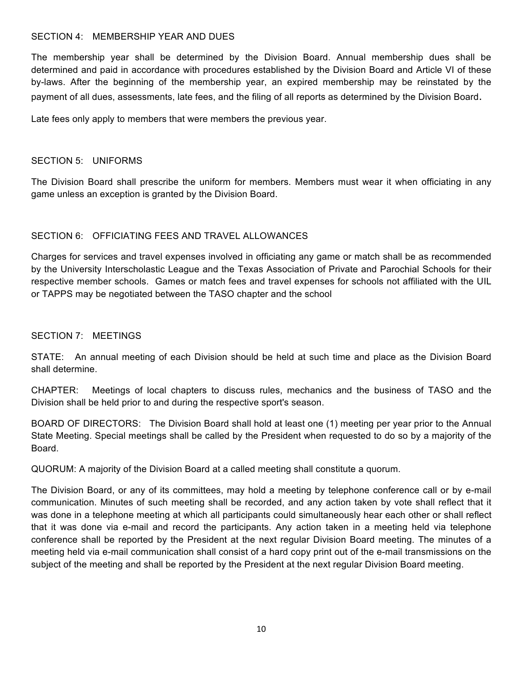#### SECTION 4: MEMBERSHIP YEAR AND DUES

The membership year shall be determined by the Division Board. Annual membership dues shall be determined and paid in accordance with procedures established by the Division Board and Article VI of these by-laws. After the beginning of the membership year, an expired membership may be reinstated by the payment of all dues, assessments, late fees, and the filing of all reports as determined by the Division Board.

Late fees only apply to members that were members the previous year.

#### SECTION 5: UNIFORMS

The Division Board shall prescribe the uniform for members. Members must wear it when officiating in any game unless an exception is granted by the Division Board.

## SECTION 6: OFFICIATING FEES AND TRAVEL ALLOWANCES

Charges for services and travel expenses involved in officiating any game or match shall be as recommended by the University Interscholastic League and the Texas Association of Private and Parochial Schools for their respective member schools. Games or match fees and travel expenses for schools not affiliated with the UIL or TAPPS may be negotiated between the TASO chapter and the school

#### SECTION 7: MEETINGS

STATE: An annual meeting of each Division should be held at such time and place as the Division Board shall determine.

CHAPTER: Meetings of local chapters to discuss rules, mechanics and the business of TASO and the Division shall be held prior to and during the respective sport's season.

BOARD OF DIRECTORS: The Division Board shall hold at least one (1) meeting per year prior to the Annual State Meeting. Special meetings shall be called by the President when requested to do so by a majority of the Board.

QUORUM: A majority of the Division Board at a called meeting shall constitute a quorum.

The Division Board, or any of its committees, may hold a meeting by telephone conference call or by e-mail communication. Minutes of such meeting shall be recorded, and any action taken by vote shall reflect that it was done in a telephone meeting at which all participants could simultaneously hear each other or shall reflect that it was done via e-mail and record the participants. Any action taken in a meeting held via telephone conference shall be reported by the President at the next regular Division Board meeting. The minutes of a meeting held via e-mail communication shall consist of a hard copy print out of the e-mail transmissions on the subject of the meeting and shall be reported by the President at the next regular Division Board meeting.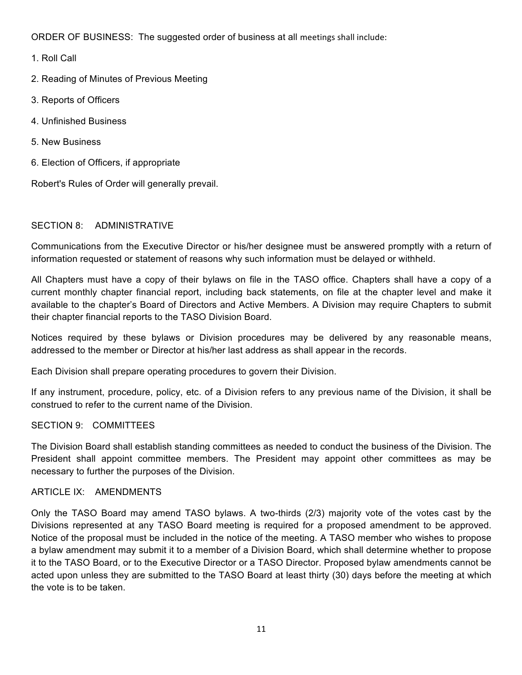ORDER OF BUSINESS: The suggested order of business at all meetings shall include:

- 1. Roll Call
- 2. Reading of Minutes of Previous Meeting
- 3. Reports of Officers
- 4. Unfinished Business
- 5. New Business
- 6. Election of Officers, if appropriate

Robert's Rules of Order will generally prevail.

## SECTION 8: ADMINISTRATIVE

Communications from the Executive Director or his/her designee must be answered promptly with a return of information requested or statement of reasons why such information must be delayed or withheld.

All Chapters must have a copy of their bylaws on file in the TASO office. Chapters shall have a copy of a current monthly chapter financial report, including back statements, on file at the chapter level and make it available to the chapter's Board of Directors and Active Members. A Division may require Chapters to submit their chapter financial reports to the TASO Division Board.

Notices required by these bylaws or Division procedures may be delivered by any reasonable means, addressed to the member or Director at his/her last address as shall appear in the records.

Each Division shall prepare operating procedures to govern their Division.

If any instrument, procedure, policy, etc. of a Division refers to any previous name of the Division, it shall be construed to refer to the current name of the Division.

#### SECTION 9: COMMITTEES

The Division Board shall establish standing committees as needed to conduct the business of the Division. The President shall appoint committee members. The President may appoint other committees as may be necessary to further the purposes of the Division.

# ARTICLE IX: AMENDMENTS

Only the TASO Board may amend TASO bylaws. A two-thirds (2/3) majority vote of the votes cast by the Divisions represented at any TASO Board meeting is required for a proposed amendment to be approved. Notice of the proposal must be included in the notice of the meeting. A TASO member who wishes to propose a bylaw amendment may submit it to a member of a Division Board, which shall determine whether to propose it to the TASO Board, or to the Executive Director or a TASO Director. Proposed bylaw amendments cannot be acted upon unless they are submitted to the TASO Board at least thirty (30) days before the meeting at which the vote is to be taken.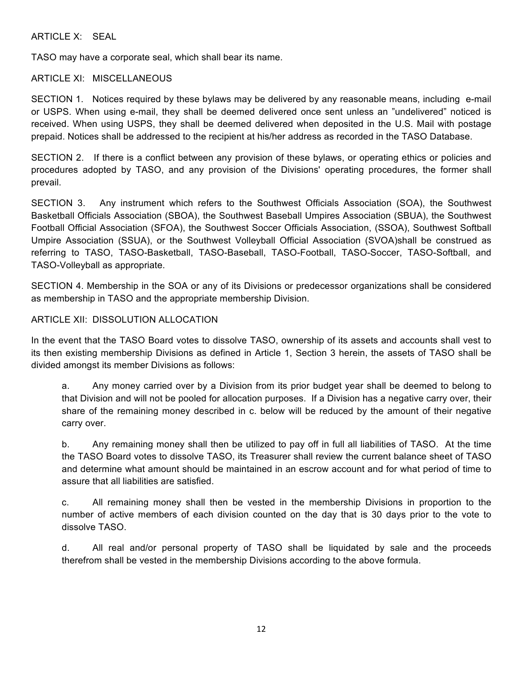ARTICLE X: SEAL

TASO may have a corporate seal, which shall bear its name.

## ARTICLE XI: MISCELLANEOUS

SECTION 1. Notices required by these bylaws may be delivered by any reasonable means, including e-mail or USPS. When using e-mail, they shall be deemed delivered once sent unless an "undelivered" noticed is received. When using USPS, they shall be deemed delivered when deposited in the U.S. Mail with postage prepaid. Notices shall be addressed to the recipient at his/her address as recorded in the TASO Database.

SECTION 2. If there is a conflict between any provision of these bylaws, or operating ethics or policies and procedures adopted by TASO, and any provision of the Divisions' operating procedures, the former shall prevail.

SECTION 3. Any instrument which refers to the Southwest Officials Association (SOA), the Southwest Basketball Officials Association (SBOA), the Southwest Baseball Umpires Association (SBUA), the Southwest Football Official Association (SFOA), the Southwest Soccer Officials Association, (SSOA), Southwest Softball Umpire Association (SSUA), or the Southwest Volleyball Official Association (SVOA)shall be construed as referring to TASO, TASO-Basketball, TASO-Baseball, TASO-Football, TASO-Soccer, TASO-Softball, and TASO-Volleyball as appropriate.

SECTION 4. Membership in the SOA or any of its Divisions or predecessor organizations shall be considered as membership in TASO and the appropriate membership Division.

## ARTICLE XII: DISSOLUTION ALLOCATION

In the event that the TASO Board votes to dissolve TASO, ownership of its assets and accounts shall vest to its then existing membership Divisions as defined in Article 1, Section 3 herein, the assets of TASO shall be divided amongst its member Divisions as follows:

a. Any money carried over by a Division from its prior budget year shall be deemed to belong to that Division and will not be pooled for allocation purposes. If a Division has a negative carry over, their share of the remaining money described in c. below will be reduced by the amount of their negative carry over.

b. Any remaining money shall then be utilized to pay off in full all liabilities of TASO. At the time the TASO Board votes to dissolve TASO, its Treasurer shall review the current balance sheet of TASO and determine what amount should be maintained in an escrow account and for what period of time to assure that all liabilities are satisfied.

c. All remaining money shall then be vested in the membership Divisions in proportion to the number of active members of each division counted on the day that is 30 days prior to the vote to dissolve TASO.

d. All real and/or personal property of TASO shall be liquidated by sale and the proceeds therefrom shall be vested in the membership Divisions according to the above formula.